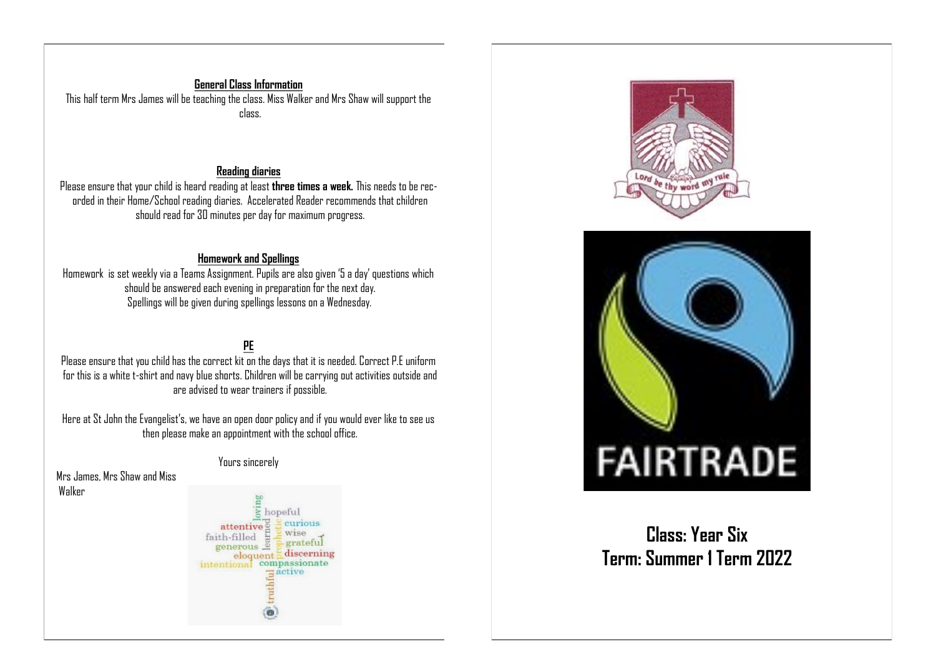#### **General Class Information** This half term Mrs James will be teaching the class. Miss Walker and Mrs Shaw will support the class.

#### **Reading diaries**

Please ensure that your child is heard reading at least **three times a week.** This needs to be recorded in their Home/School reading diaries. Accelerated Reader recommends that children should read for 30 minutes per day for maximum progress.

#### **Homework and Spellings**

Homework is set weekly via a Teams Assignment. Pupils are also given '5 a day' questions which should be answered each evening in preparation for the next day. Spellings will be given during spellings lessons on a Wednesday.

### **PE**

Please ensure that you child has the correct kit on the days that it is needed. Correct P.E uniform for this is a white t-shirt and navy blue shorts. Children will be carrying out activities outside and are advised to wear trainers if possible.

Here at St John the Evangelist's, we have an open door policy and if you would ever like to see us then please make an appointment with the school office.

#### Yours sincerely

Mrs James, Mrs Shaw and Miss Walker







**Class: Year Six Term: Summer 1 Term 2022**